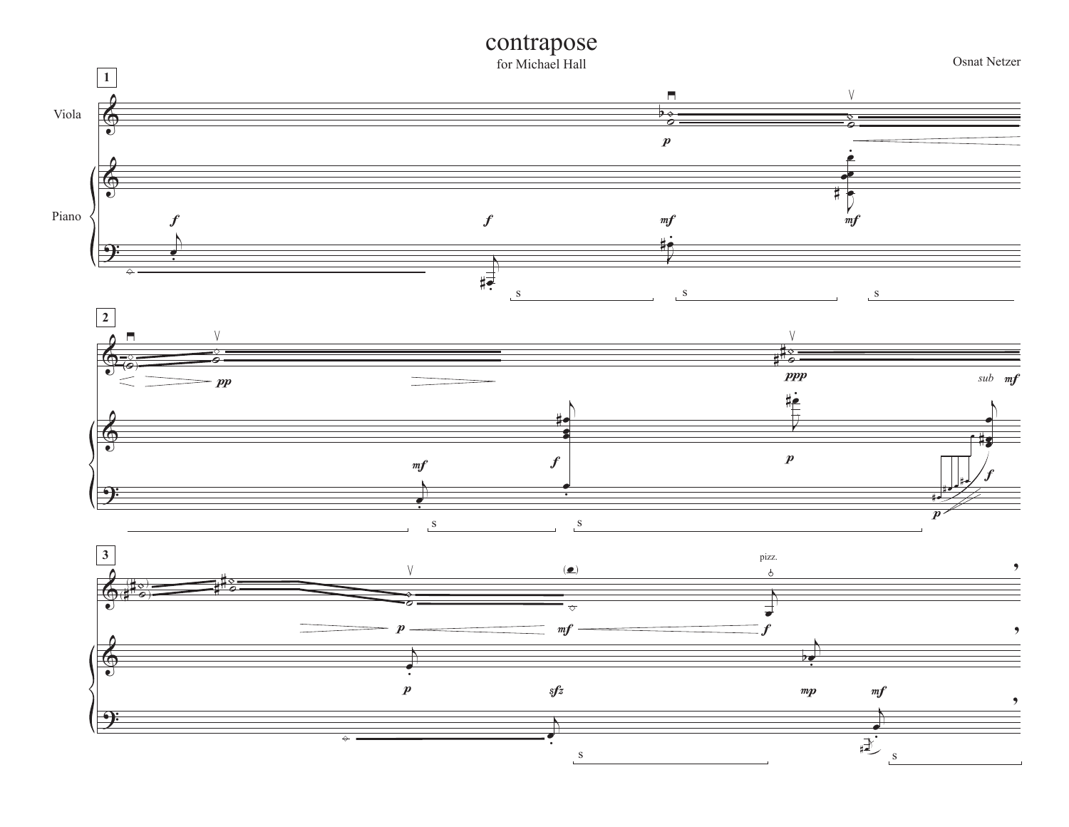**CONTAPOSE**<br>for Michael Hall

Osnat Netzer

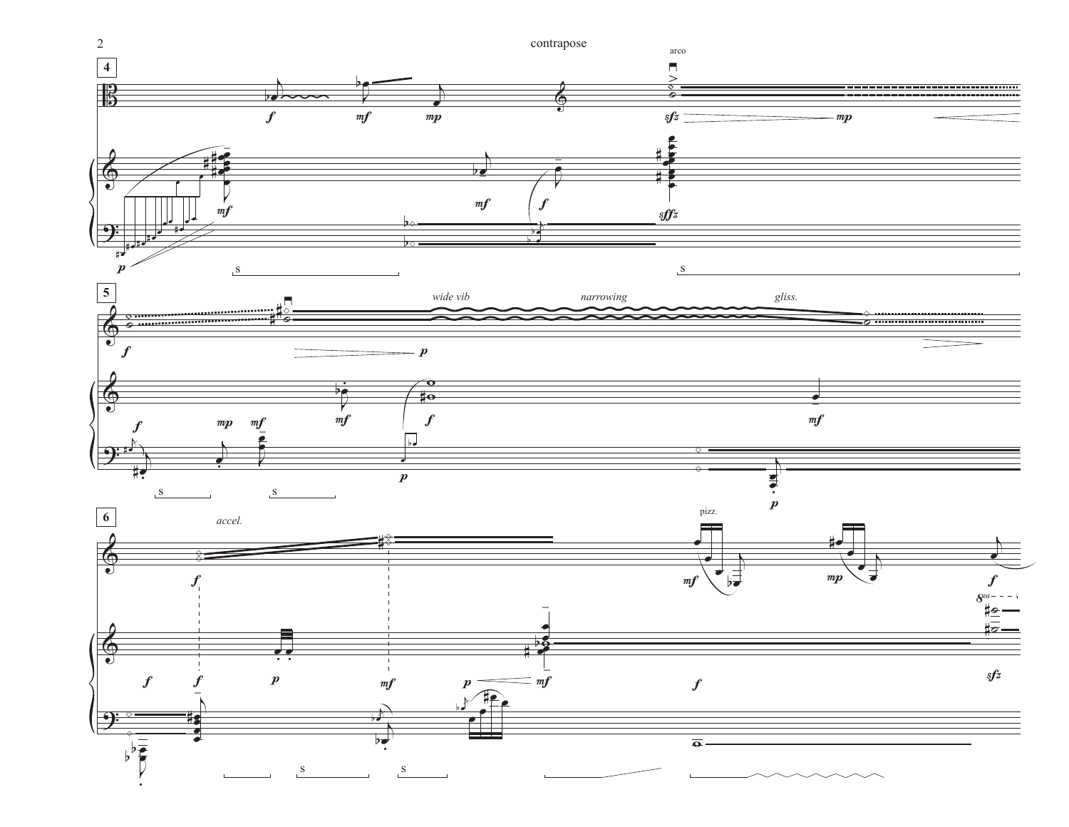